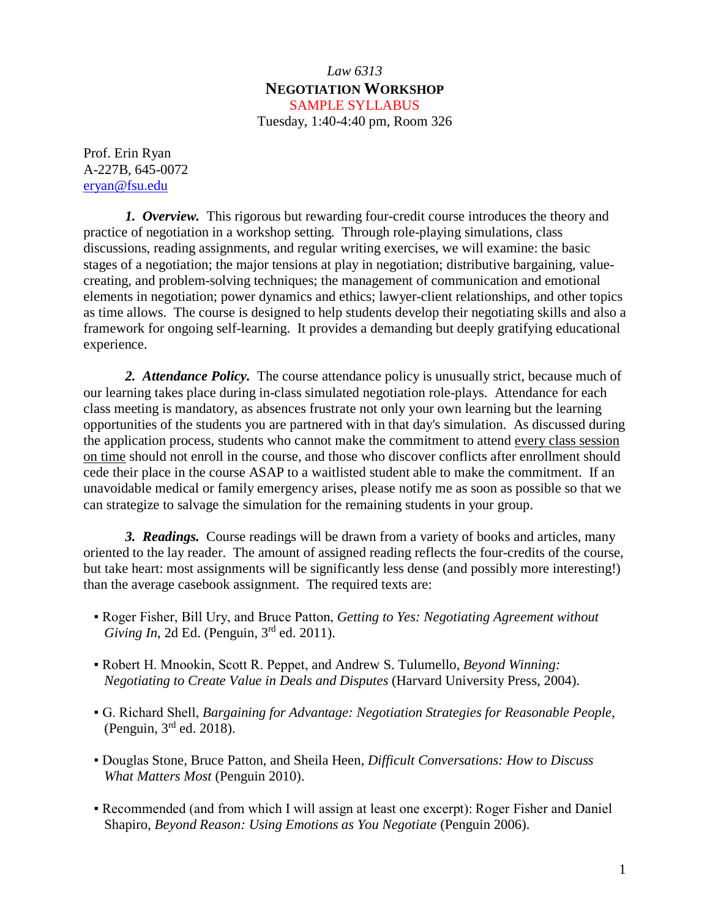### *Law 6313* **NEGOTIATION WORKSHOP** SAMPLE SYLLABUS

Tuesday, 1:40-4:40 pm, Room 326

Prof. Erin Ryan A-227B, 645-0072 [eryan@fsu.edu](mailto:eryan@fsu.edu)

*1. Overview.* This rigorous but rewarding four-credit course introduces the theory and practice of negotiation in a workshop setting. Through role-playing simulations, class discussions, reading assignments, and regular writing exercises, we will examine: the basic stages of a negotiation; the major tensions at play in negotiation; distributive bargaining, valuecreating, and problem-solving techniques; the management of communication and emotional elements in negotiation; power dynamics and ethics; lawyer-client relationships, and other topics as time allows. The course is designed to help students develop their negotiating skills and also a framework for ongoing self-learning. It provides a demanding but deeply gratifying educational experience.

*2. Attendance Policy.* The course attendance policy is unusually strict, because much of our learning takes place during in-class simulated negotiation role-plays. Attendance for each class meeting is mandatory, as absences frustrate not only your own learning but the learning opportunities of the students you are partnered with in that day's simulation. As discussed during the application process, students who cannot make the commitment to attend every class session on time should not enroll in the course, and those who discover conflicts after enrollment should cede their place in the course ASAP to a waitlisted student able to make the commitment. If an unavoidable medical or family emergency arises, please notify me as soon as possible so that we can strategize to salvage the simulation for the remaining students in your group.

*3. Readings.* Course readings will be drawn from a variety of books and articles, many oriented to the lay reader. The amount of assigned reading reflects the four-credits of the course, but take heart: most assignments will be significantly less dense (and possibly more interesting!) than the average casebook assignment. The required texts are:

- Roger Fisher, Bill Ury, and Bruce Patton, *Getting to Yes: Negotiating Agreement without Giving In*, 2d Ed. (Penguin, 3<sup>rd</sup> ed. 2011).
- Robert H. Mnookin, Scott R. Peppet, and Andrew S. Tulumello, *Beyond Winning: Negotiating to Create Value in Deals and Disputes* (Harvard University Press, 2004).
- G. Richard Shell, *Bargaining for Advantage: Negotiation Strategies for Reasonable People*, (Penguin,  $3<sup>rd</sup>$  ed. 2018).
- Douglas Stone, Bruce Patton, and Sheila Heen, *Difficult Conversations: How to Discuss What Matters Most* (Penguin 2010).
- Recommended (and from which I will assign at least one excerpt): Roger Fisher and Daniel Shapiro, *Beyond Reason: Using Emotions as You Negotiate* (Penguin 2006).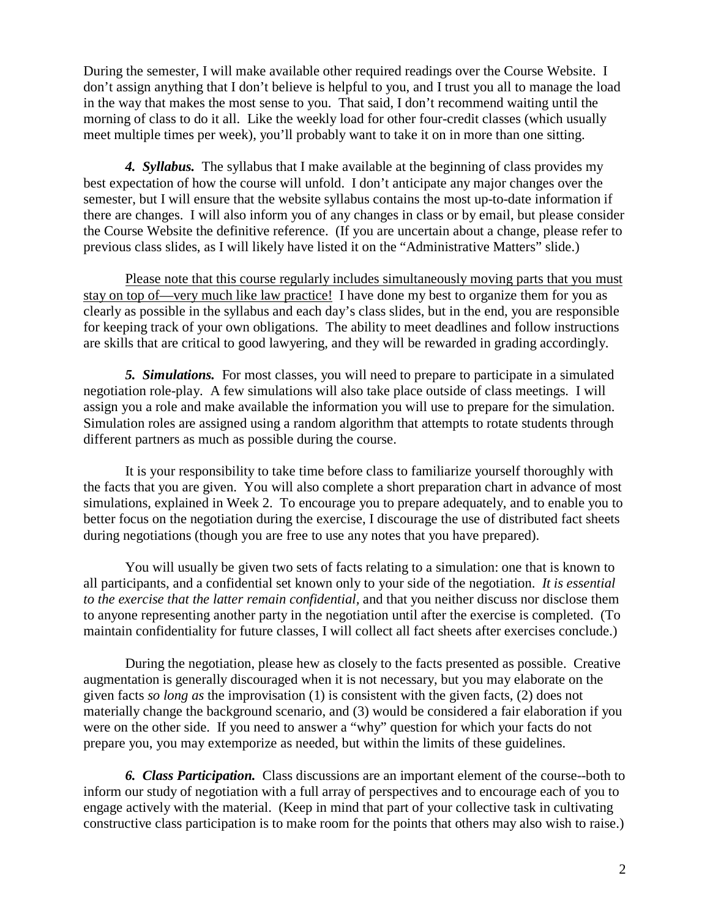During the semester, I will make available other required readings over the Course Website. I don't assign anything that I don't believe is helpful to you, and I trust you all to manage the load in the way that makes the most sense to you. That said, I don't recommend waiting until the morning of class to do it all. Like the weekly load for other four-credit classes (which usually meet multiple times per week), you'll probably want to take it on in more than one sitting.

*4. Syllabus.* The syllabus that I make available at the beginning of class provides my best expectation of how the course will unfold. I don't anticipate any major changes over the semester, but I will ensure that the website syllabus contains the most up-to-date information if there are changes. I will also inform you of any changes in class or by email, but please consider the Course Website the definitive reference. (If you are uncertain about a change, please refer to previous class slides, as I will likely have listed it on the "Administrative Matters" slide.)

Please note that this course regularly includes simultaneously moving parts that you must stay on top of—very much like law practice! I have done my best to organize them for you as clearly as possible in the syllabus and each day's class slides, but in the end, you are responsible for keeping track of your own obligations. The ability to meet deadlines and follow instructions are skills that are critical to good lawyering, and they will be rewarded in grading accordingly.

*5. Simulations.* For most classes, you will need to prepare to participate in a simulated negotiation role-play. A few simulations will also take place outside of class meetings. I will assign you a role and make available the information you will use to prepare for the simulation. Simulation roles are assigned using a random algorithm that attempts to rotate students through different partners as much as possible during the course.

It is your responsibility to take time before class to familiarize yourself thoroughly with the facts that you are given. You will also complete a short preparation chart in advance of most simulations, explained in Week 2. To encourage you to prepare adequately, and to enable you to better focus on the negotiation during the exercise, I discourage the use of distributed fact sheets during negotiations (though you are free to use any notes that you have prepared).

You will usually be given two sets of facts relating to a simulation: one that is known to all participants, and a confidential set known only to your side of the negotiation. *It is essential to the exercise that the latter remain confidential,* and that you neither discuss nor disclose them to anyone representing another party in the negotiation until after the exercise is completed. (To maintain confidentiality for future classes, I will collect all fact sheets after exercises conclude.)

During the negotiation, please hew as closely to the facts presented as possible. Creative augmentation is generally discouraged when it is not necessary, but you may elaborate on the given facts *so long as* the improvisation (1) is consistent with the given facts, (2) does not materially change the background scenario, and (3) would be considered a fair elaboration if you were on the other side. If you need to answer a "why" question for which your facts do not prepare you, you may extemporize as needed, but within the limits of these guidelines.

*6. Class Participation.* Class discussions are an important element of the course--both to inform our study of negotiation with a full array of perspectives and to encourage each of you to engage actively with the material. (Keep in mind that part of your collective task in cultivating constructive class participation is to make room for the points that others may also wish to raise.)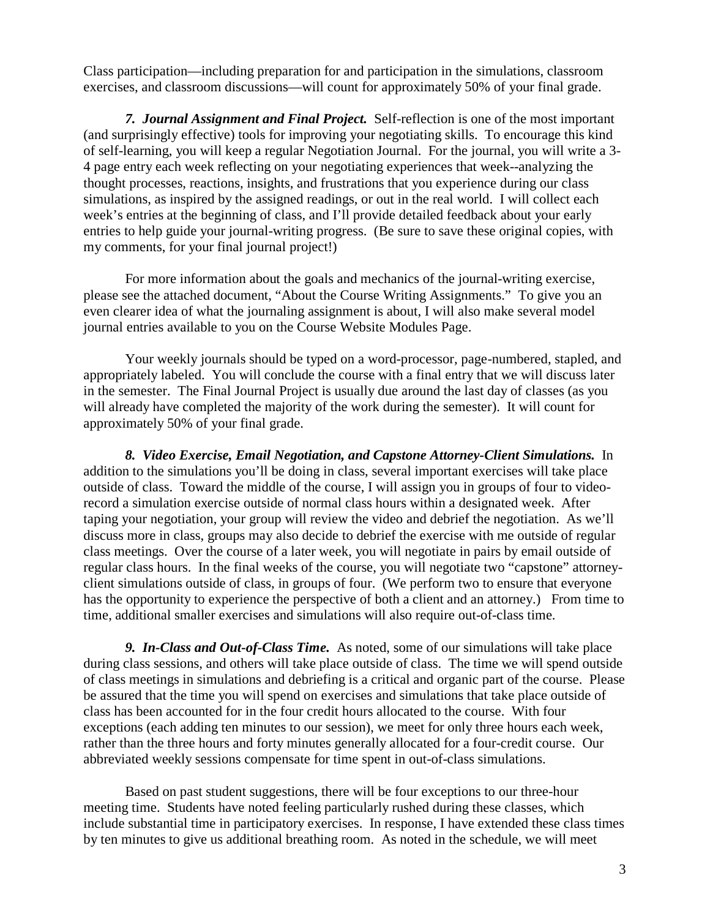Class participation—including preparation for and participation in the simulations, classroom exercises, and classroom discussions—will count for approximately 50% of your final grade.

*7. Journal Assignment and Final Project.* Self-reflection is one of the most important (and surprisingly effective) tools for improving your negotiating skills. To encourage this kind of self-learning, you will keep a regular Negotiation Journal. For the journal, you will write a 3- 4 page entry each week reflecting on your negotiating experiences that week--analyzing the thought processes, reactions, insights, and frustrations that you experience during our class simulations, as inspired by the assigned readings, or out in the real world. I will collect each week's entries at the beginning of class, and I'll provide detailed feedback about your early entries to help guide your journal-writing progress. (Be sure to save these original copies, with my comments, for your final journal project!)

For more information about the goals and mechanics of the journal-writing exercise, please see the attached document, "About the Course Writing Assignments." To give you an even clearer idea of what the journaling assignment is about, I will also make several model journal entries available to you on the Course Website Modules Page.

Your weekly journals should be typed on a word-processor, page-numbered, stapled, and appropriately labeled. You will conclude the course with a final entry that we will discuss later in the semester. The Final Journal Project is usually due around the last day of classes (as you will already have completed the majority of the work during the semester). It will count for approximately 50% of your final grade.

*8. Video Exercise, Email Negotiation, and Capstone Attorney-Client Simulations.* In addition to the simulations you'll be doing in class, several important exercises will take place outside of class. Toward the middle of the course, I will assign you in groups of four to videorecord a simulation exercise outside of normal class hours within a designated week. After taping your negotiation, your group will review the video and debrief the negotiation. As we'll discuss more in class, groups may also decide to debrief the exercise with me outside of regular class meetings. Over the course of a later week, you will negotiate in pairs by email outside of regular class hours. In the final weeks of the course, you will negotiate two "capstone" attorneyclient simulations outside of class, in groups of four. (We perform two to ensure that everyone has the opportunity to experience the perspective of both a client and an attorney.) From time to time, additional smaller exercises and simulations will also require out-of-class time.

*9. In-Class and Out-of-Class Time.* As noted, some of our simulations will take place during class sessions, and others will take place outside of class. The time we will spend outside of class meetings in simulations and debriefing is a critical and organic part of the course. Please be assured that the time you will spend on exercises and simulations that take place outside of class has been accounted for in the four credit hours allocated to the course. With four exceptions (each adding ten minutes to our session), we meet for only three hours each week, rather than the three hours and forty minutes generally allocated for a four-credit course. Our abbreviated weekly sessions compensate for time spent in out-of-class simulations.

Based on past student suggestions, there will be four exceptions to our three-hour meeting time. Students have noted feeling particularly rushed during these classes, which include substantial time in participatory exercises. In response, I have extended these class times by ten minutes to give us additional breathing room. As noted in the schedule, we will meet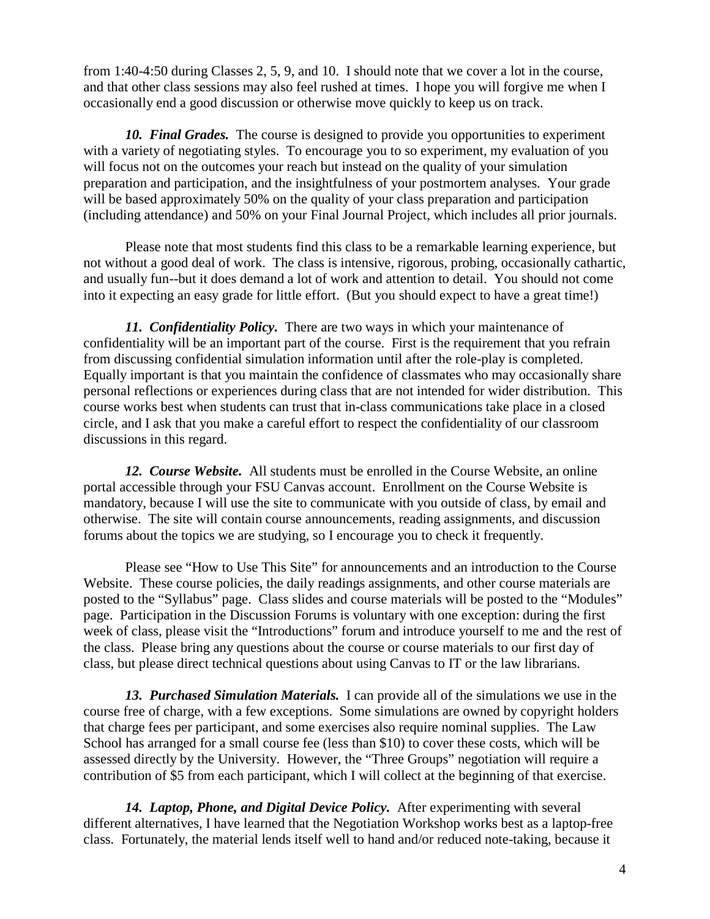from 1:40-4:50 during Classes 2, 5, 9, and 10. I should note that we cover a lot in the course, and that other class sessions may also feel rushed at times. I hope you will forgive me when I occasionally end a good discussion or otherwise move quickly to keep us on track.

*10. Final Grades.* The course is designed to provide you opportunities to experiment with a variety of negotiating styles. To encourage you to so experiment, my evaluation of you will focus not on the outcomes your reach but instead on the quality of your simulation preparation and participation, and the insightfulness of your postmortem analyses.Your grade will be based approximately 50% on the quality of your class preparation and participation (including attendance) and 50% on your Final Journal Project, which includes all prior journals.

Please note that most students find this class to be a remarkable learning experience, but not without a good deal of work. The class is intensive, rigorous, probing, occasionally cathartic, and usually fun--but it does demand a lot of work and attention to detail. You should not come into it expecting an easy grade for little effort. (But you should expect to have a great time!)

*11. Confidentiality Policy.* There are two ways in which your maintenance of confidentiality will be an important part of the course. First is the requirement that you refrain from discussing confidential simulation information until after the role-play is completed. Equally important is that you maintain the confidence of classmates who may occasionally share personal reflections or experiences during class that are not intended for wider distribution. This course works best when students can trust that in-class communications take place in a closed circle, and I ask that you make a careful effort to respect the confidentiality of our classroom discussions in this regard.

*12. Course Website.* All students must be enrolled in the Course Website, an online portal accessible through your FSU Canvas account. Enrollment on the Course Website is mandatory, because I will use the site to communicate with you outside of class, by email and otherwise. The site will contain course announcements, reading assignments, and discussion forums about the topics we are studying, so I encourage you to check it frequently.

Please see "How to Use This Site" for announcements and an introduction to the Course Website. These course policies, the daily readings assignments, and other course materials are posted to the "Syllabus" page. Class slides and course materials will be posted to the "Modules" page. Participation in the Discussion Forums is voluntary with one exception: during the first week of class, please visit the "Introductions" forum and introduce yourself to me and the rest of the class. Please bring any questions about the course or course materials to our first day of class, but please direct technical questions about using Canvas to IT or the law librarians.

*13. Purchased Simulation Materials.* I can provide all of the simulations we use in the course free of charge, with a few exceptions. Some simulations are owned by copyright holders that charge fees per participant, and some exercises also require nominal supplies. The Law School has arranged for a small course fee (less than \$10) to cover these costs, which will be assessed directly by the University. However, the "Three Groups" negotiation will require a contribution of \$5 from each participant, which I will collect at the beginning of that exercise.

*14. Laptop, Phone, and Digital Device Policy.* After experimenting with several different alternatives, I have learned that the Negotiation Workshop works best as a laptop-free class. Fortunately, the material lends itself well to hand and/or reduced note-taking, because it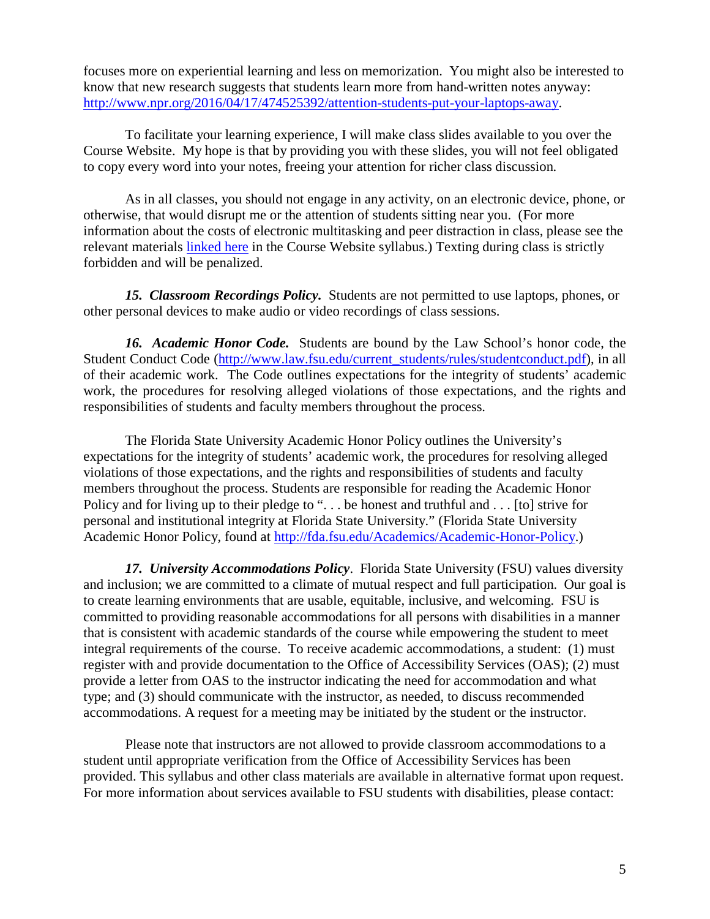focuses more on experiential learning and less on memorization. You might also be interested to know that new research suggests that students learn more from hand-written notes anyway: [http://www.npr.org/2016/04/17/474525392/attention-students-put-your-laptops-away.](http://www.npr.org/2016/04/17/474525392/attention-students-put-your-laptops-away)

To facilitate your learning experience, I will make class slides available to you over the Course Website. My hope is that by providing you with these slides, you will not feel obligated to copy every word into your notes, freeing your attention for richer class discussion.

As in all classes, you should not engage in any activity, on an electronic device, phone, or otherwise, that would disrupt me or the attention of students sitting near you. (For more information about the costs of electronic multitasking and peer distraction in class, please see the relevant materials linked here in the Course Website syllabus.) Texting during class is strictly forbidden and will be penalized.

*15. Classroom Recordings Policy.* Students are not permitted to use laptops, phones, or other personal devices to make audio or video recordings of class sessions.

16. Academic Honor Code. Students are bound by the Law School's honor code, the Student Conduct Code [\(http://www.law.fsu.edu/current\\_students/rules/studentconduct.pdf\)](http://www.law.fsu.edu/current_students/rules/studentconduct.pdf), in all of their academic work. The Code outlines expectations for the integrity of students' academic work, the procedures for resolving alleged violations of those expectations, and the rights and responsibilities of students and faculty members throughout the process.

The Florida State University Academic Honor Policy outlines the University's expectations for the integrity of students' academic work, the procedures for resolving alleged violations of those expectations, and the rights and responsibilities of students and faculty members throughout the process. Students are responsible for reading the Academic Honor Policy and for living up to their pledge to "... be honest and truthful and ... [to] strive for personal and institutional integrity at Florida State University." (Florida State University Academic Honor Policy, found at [http://fda.fsu.edu/Academics/Academic-Honor-Policy.](http://fda.fsu.edu/Academics/Academic-Honor-Policy))

*17. University Accommodations Policy*. Florida State University (FSU) values diversity and inclusion; we are committed to a climate of mutual respect and full participation. Our goal is to create learning environments that are usable, equitable, inclusive, and welcoming. FSU is committed to providing reasonable accommodations for all persons with disabilities in a manner that is consistent with academic standards of the course while empowering the student to meet integral requirements of the course. To receive academic accommodations, a student: (1) must register with and provide documentation to the Office of Accessibility Services (OAS); (2) must provide a letter from OAS to the instructor indicating the need for accommodation and what type; and (3) should communicate with the instructor, as needed, to discuss recommended accommodations. A request for a meeting may be initiated by the student or the instructor.

Please note that instructors are not allowed to provide classroom accommodations to a student until appropriate verification from the Office of Accessibility Services has been provided. This syllabus and other class materials are available in alternative format upon request. For more information about services available to FSU students with disabilities, please contact: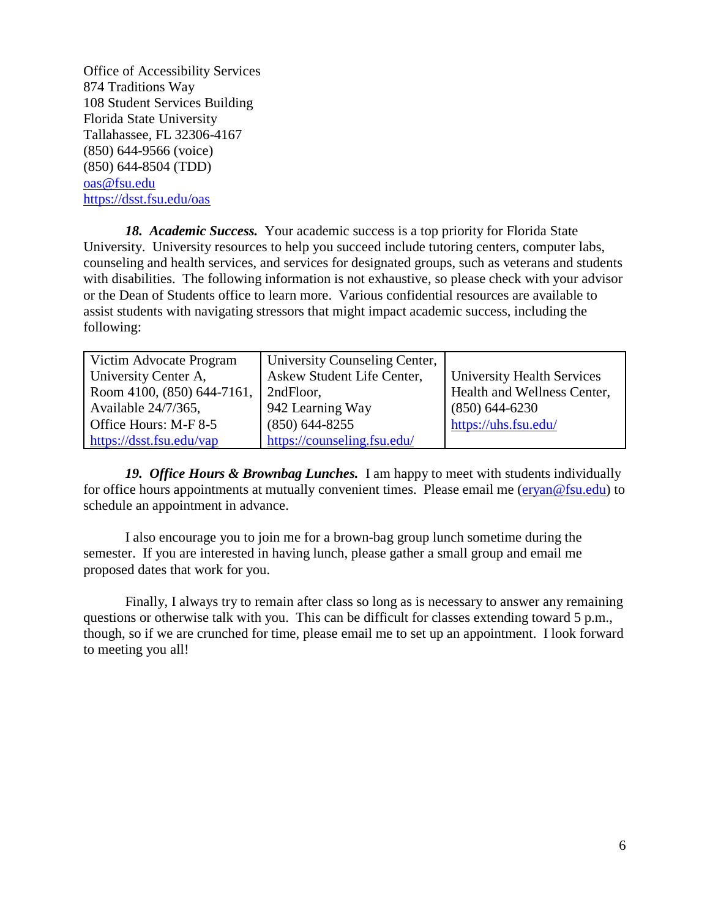Office of Accessibility Services 874 Traditions Way 108 Student Services Building Florida State University Tallahassee, FL 32306-4167 (850) 644-9566 (voice) (850) 644-8504 (TDD) [oas@fsu.edu](mailto:oas@fsu.edu)  <https://dsst.fsu.edu/oas>

*18. Academic Success.* Your academic success is a top priority for Florida State University. University resources to help you succeed include tutoring centers, computer labs, counseling and health services, and services for designated groups, such as veterans and students with disabilities. The following information is not exhaustive, so please check with your advisor or the Dean of Students office to learn more. Various confidential resources are available to assist students with navigating stressors that might impact academic success, including the following:

| Victim Advocate Program    | University Counseling Center, |                                   |  |
|----------------------------|-------------------------------|-----------------------------------|--|
| University Center A,       | Askew Student Life Center,    | <b>University Health Services</b> |  |
| Room 4100, (850) 644-7161, | 2ndFloor,                     | Health and Wellness Center,       |  |
| Available 24/7/365,        | 942 Learning Way              | $(850)$ 644-6230                  |  |
| Office Hours: M-F 8-5      | $(850)$ 644-8255              | https://uhs.fsu.edu/              |  |
| https://dsst.fsu.edu/vap   | https://counseling.fsu.edu/   |                                   |  |

*19. Office Hours & Brownbag Lunches.* I am happy to meet with students individually for office hours appointments at mutually convenient times. Please email me [\(eryan@fsu.edu\)](mailto:eryan@fsu.edu) to schedule an appointment in advance.

I also encourage you to join me for a brown-bag group lunch sometime during the semester. If you are interested in having lunch, please gather a small group and email me proposed dates that work for you.

Finally, I always try to remain after class so long as is necessary to answer any remaining questions or otherwise talk with you. This can be difficult for classes extending toward 5 p.m., though, so if we are crunched for time, please email me to set up an appointment. I look forward to meeting you all!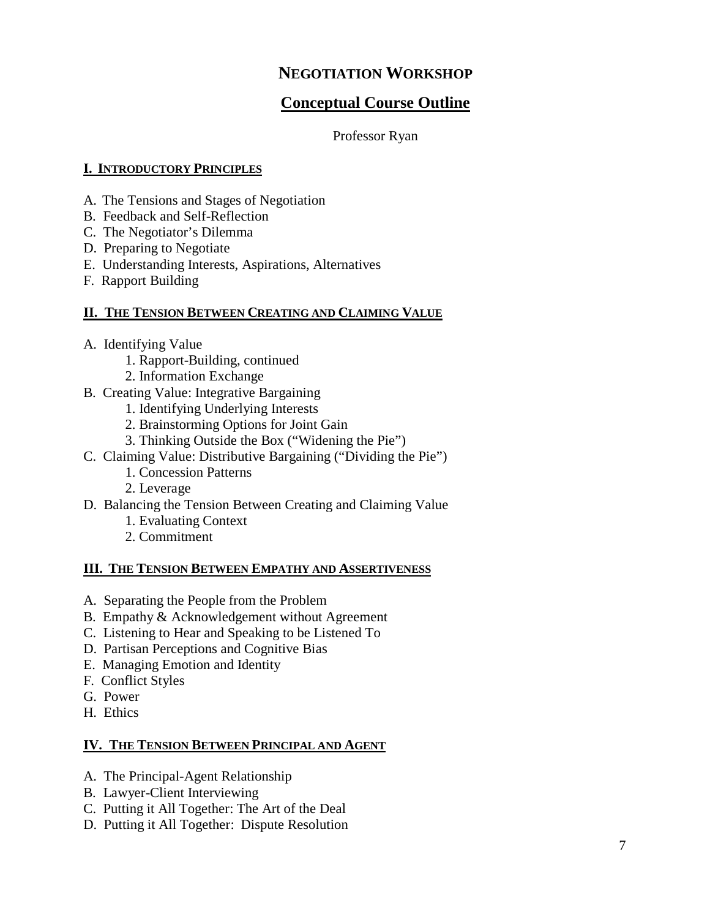## **Conceptual Course Outline**

#### Professor Ryan

#### **I. INTRODUCTORY PRINCIPLES**

- A. The Tensions and Stages of Negotiation
- B. Feedback and Self-Reflection
- C. The Negotiator's Dilemma
- D. Preparing to Negotiate
- E. Understanding Interests, Aspirations, Alternatives
- F. Rapport Building

#### **II. THE TENSION BETWEEN CREATING AND CLAIMING VALUE**

- A. Identifying Value
	- 1. Rapport-Building, continued
	- 2. Information Exchange
- B. Creating Value: Integrative Bargaining
	- 1. Identifying Underlying Interests
	- 2. Brainstorming Options for Joint Gain
	- 3. Thinking Outside the Box ("Widening the Pie")
- C. Claiming Value: Distributive Bargaining ("Dividing the Pie")
	- 1. Concession Patterns
	- 2. Leverage
- D. Balancing the Tension Between Creating and Claiming Value
	- 1. Evaluating Context
	- 2. Commitment

#### **III. THE TENSION BETWEEN EMPATHY AND ASSERTIVENESS**

- A. Separating the People from the Problem
- B. Empathy & Acknowledgement without Agreement
- C. Listening to Hear and Speaking to be Listened To
- D. Partisan Perceptions and Cognitive Bias
- E. Managing Emotion and Identity
- F. Conflict Styles
- G. Power
- H. Ethics

#### **IV. THE TENSION BETWEEN PRINCIPAL AND AGENT**

- A. The Principal-Agent Relationship
- B. Lawyer-Client Interviewing
- C. Putting it All Together: The Art of the Deal
- D. Putting it All Together: Dispute Resolution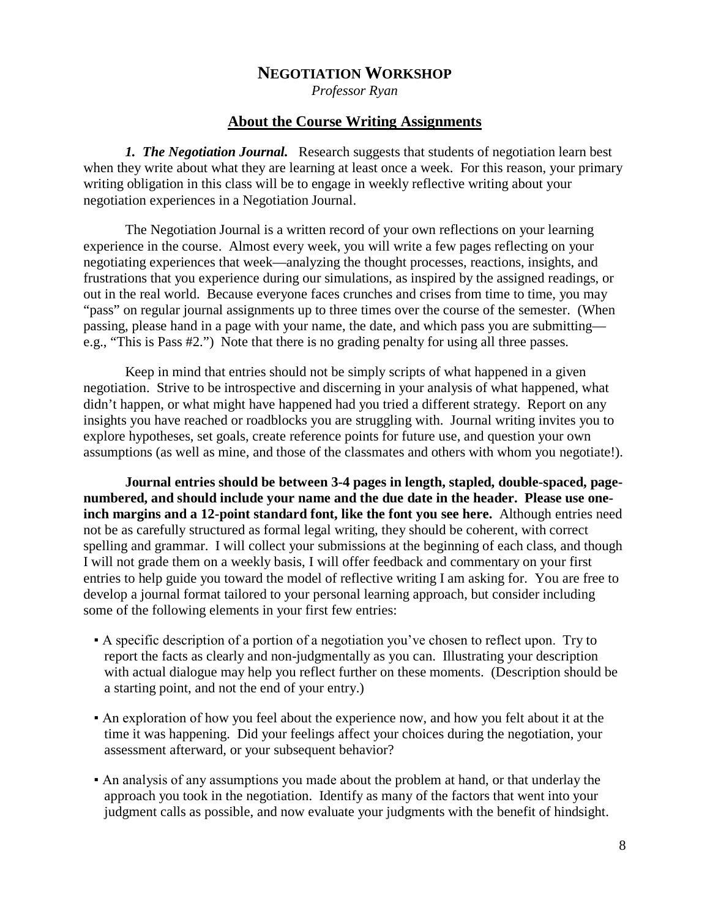*Professor Ryan*

#### **About the Course Writing Assignments**

*1. The Negotiation Journal.* Research suggests that students of negotiation learn best when they write about what they are learning at least once a week. For this reason, your primary writing obligation in this class will be to engage in weekly reflective writing about your negotiation experiences in a Negotiation Journal.

The Negotiation Journal is a written record of your own reflections on your learning experience in the course. Almost every week, you will write a few pages reflecting on your negotiating experiences that week—analyzing the thought processes, reactions, insights, and frustrations that you experience during our simulations, as inspired by the assigned readings, or out in the real world. Because everyone faces crunches and crises from time to time, you may "pass" on regular journal assignments up to three times over the course of the semester. (When passing, please hand in a page with your name, the date, and which pass you are submitting e.g., "This is Pass #2.") Note that there is no grading penalty for using all three passes.

Keep in mind that entries should not be simply scripts of what happened in a given negotiation. Strive to be introspective and discerning in your analysis of what happened, what didn't happen, or what might have happened had you tried a different strategy. Report on any insights you have reached or roadblocks you are struggling with. Journal writing invites you to explore hypotheses, set goals, create reference points for future use, and question your own assumptions (as well as mine, and those of the classmates and others with whom you negotiate!).

**Journal entries should be between 3-4 pages in length, stapled, double-spaced, pagenumbered, and should include your name and the due date in the header. Please use oneinch margins and a 12-point standard font, like the font you see here.** Although entries need not be as carefully structured as formal legal writing, they should be coherent, with correct spelling and grammar. I will collect your submissions at the beginning of each class, and though I will not grade them on a weekly basis, I will offer feedback and commentary on your first entries to help guide you toward the model of reflective writing I am asking for. You are free to develop a journal format tailored to your personal learning approach, but consider including some of the following elements in your first few entries:

- A specific description of a portion of a negotiation you've chosen to reflect upon. Try to report the facts as clearly and non-judgmentally as you can. Illustrating your description with actual dialogue may help you reflect further on these moments. (Description should be a starting point, and not the end of your entry.)
- An exploration of how you feel about the experience now, and how you felt about it at the time it was happening. Did your feelings affect your choices during the negotiation, your assessment afterward, or your subsequent behavior?
- An analysis of any assumptions you made about the problem at hand, or that underlay the approach you took in the negotiation. Identify as many of the factors that went into your judgment calls as possible, and now evaluate your judgments with the benefit of hindsight.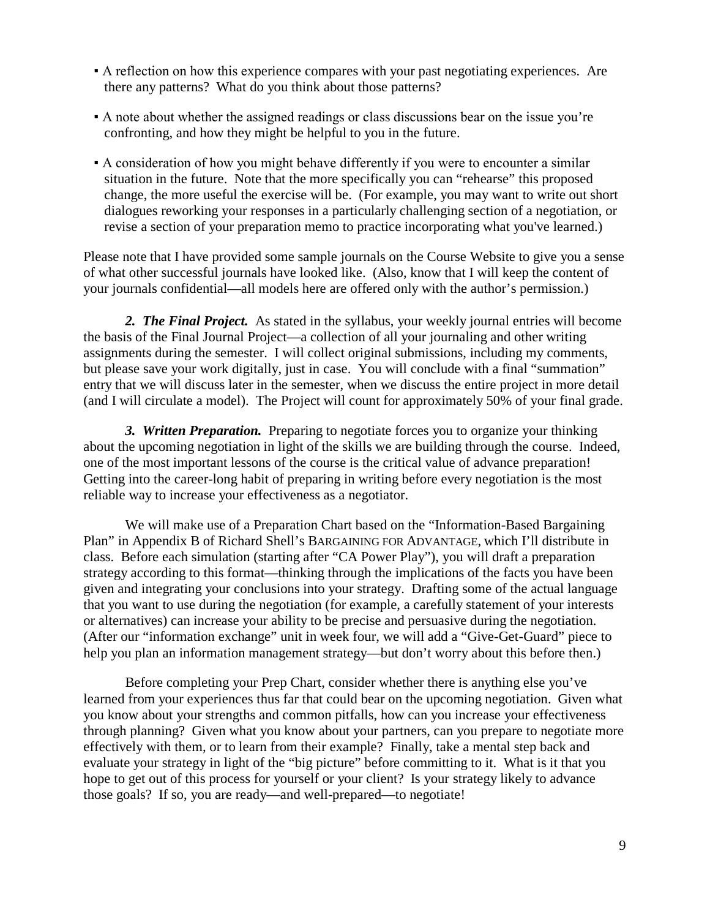- A reflection on how this experience compares with your past negotiating experiences. Are there any patterns? What do you think about those patterns?
- A note about whether the assigned readings or class discussions bear on the issue you're confronting, and how they might be helpful to you in the future.
- A consideration of how you might behave differently if you were to encounter a similar situation in the future. Note that the more specifically you can "rehearse" this proposed change, the more useful the exercise will be. (For example, you may want to write out short dialogues reworking your responses in a particularly challenging section of a negotiation, or revise a section of your preparation memo to practice incorporating what you've learned.)

Please note that I have provided some sample journals on the Course Website to give you a sense of what other successful journals have looked like. (Also, know that I will keep the content of your journals confidential—all models here are offered only with the author's permission.)

*2. The Final Project.* As stated in the syllabus, your weekly journal entries will become the basis of the Final Journal Project—a collection of all your journaling and other writing assignments during the semester. I will collect original submissions, including my comments, but please save your work digitally, just in case. You will conclude with a final "summation" entry that we will discuss later in the semester, when we discuss the entire project in more detail (and I will circulate a model). The Project will count for approximately 50% of your final grade.

*3. Written Preparation.* Preparing to negotiate forces you to organize your thinking about the upcoming negotiation in light of the skills we are building through the course. Indeed, one of the most important lessons of the course is the critical value of advance preparation! Getting into the career-long habit of preparing in writing before every negotiation is the most reliable way to increase your effectiveness as a negotiator.

We will make use of a Preparation Chart based on the "Information-Based Bargaining Plan" in Appendix B of Richard Shell's BARGAINING FOR ADVANTAGE, which I'll distribute in class. Before each simulation (starting after "CA Power Play"), you will draft a preparation strategy according to this format—thinking through the implications of the facts you have been given and integrating your conclusions into your strategy. Drafting some of the actual language that you want to use during the negotiation (for example, a carefully statement of your interests or alternatives) can increase your ability to be precise and persuasive during the negotiation. (After our "information exchange" unit in week four, we will add a "Give-Get-Guard" piece to help you plan an information management strategy—but don't worry about this before then.)

Before completing your Prep Chart, consider whether there is anything else you've learned from your experiences thus far that could bear on the upcoming negotiation. Given what you know about your strengths and common pitfalls, how can you increase your effectiveness through planning? Given what you know about your partners, can you prepare to negotiate more effectively with them, or to learn from their example? Finally, take a mental step back and evaluate your strategy in light of the "big picture" before committing to it. What is it that you hope to get out of this process for yourself or your client? Is your strategy likely to advance those goals? If so, you are ready—and well-prepared—to negotiate!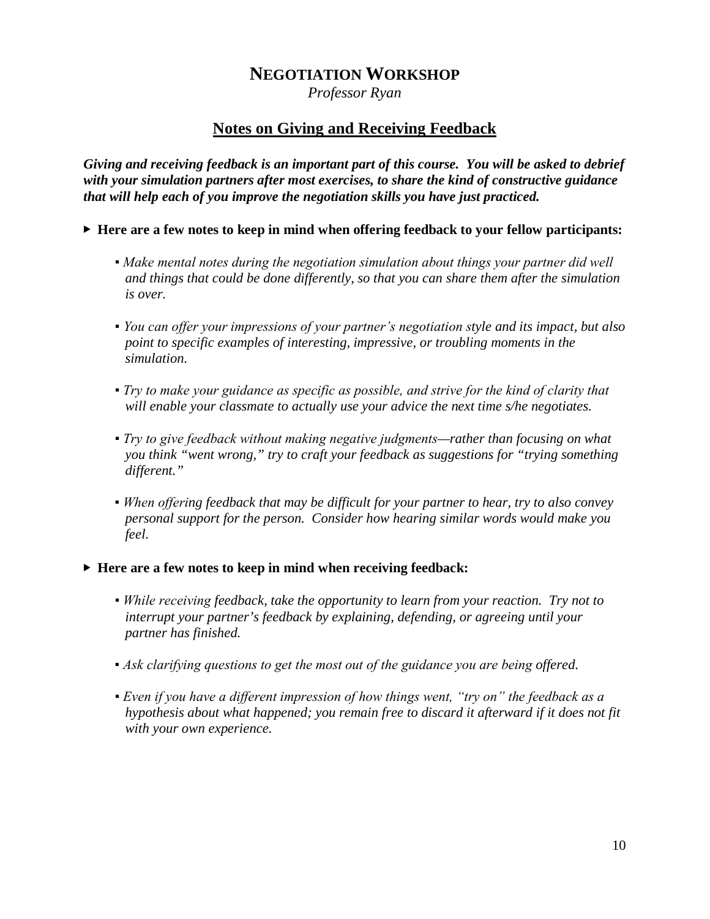*Professor Ryan*

### **Notes on Giving and Receiving Feedback**

*Giving and receiving feedback is an important part of this course. You will be asked to debrief with your simulation partners after most exercises, to share the kind of constructive guidance that will help each of you improve the negotiation skills you have just practiced.* 

- ▶ **Here are a few notes to keep in mind when offering feedback to your fellow participants:**
	- *Make mental notes during the negotiation simulation about things your partner did well and things that could be done differently, so that you can share them after the simulation is over.*
	- *You can offer your impressions of your partner's negotiation style and its impact, but also point to specific examples of interesting, impressive, or troubling moments in the simulation.*
	- *Try to make your guidance as specific as possible, and strive for the kind of clarity that will enable your classmate to actually use your advice the next time s/he negotiates.*
	- *Try to give feedback without making negative judgments—rather than focusing on what you think "went wrong," try to craft your feedback as suggestions for "trying something different."*
	- *When offering feedback that may be difficult for your partner to hear, try to also convey personal support for the person. Consider how hearing similar words would make you feel.*
- ▶ **Here are a few notes to keep in mind when receiving feedback:**
	- *While receiving feedback, take the opportunity to learn from your reaction. Try not to interrupt your partner's feedback by explaining, defending, or agreeing until your partner has finished.*
	- *Ask clarifying questions to get the most out of the guidance you are being offered.*
	- *Even if you have a different impression of how things went, "try on" the feedback as a hypothesis about what happened; you remain free to discard it afterward if it does not fit with your own experience.*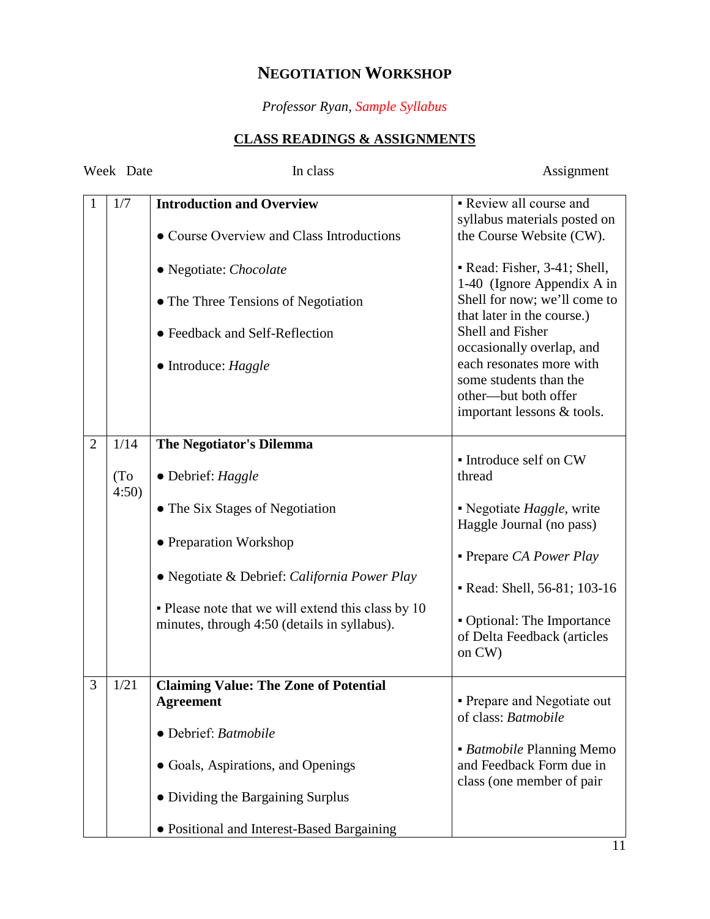## *Professor Ryan, Sample Syllabus*

## **CLASS READINGS & ASSIGNMENTS**

| Week Date      |                           | In class                                                                                                                                                            | Assignment                                                                                                                                   |  |
|----------------|---------------------------|---------------------------------------------------------------------------------------------------------------------------------------------------------------------|----------------------------------------------------------------------------------------------------------------------------------------------|--|
| 1              | 1/7                       | <b>Introduction and Overview</b><br>• Course Overview and Class Introductions                                                                                       | • Review all course and<br>syllabus materials posted on<br>the Course Website (CW).                                                          |  |
|                |                           | • Negotiate: Chocolate<br>• The Three Tensions of Negotiation<br>• Feedback and Self-Reflection                                                                     | • Read: Fisher, 3-41; Shell,<br>1-40 (Ignore Appendix A in<br>Shell for now; we'll come to<br>that later in the course.)<br>Shell and Fisher |  |
|                |                           | $\bullet$ Introduce: Haggle                                                                                                                                         | occasionally overlap, and<br>each resonates more with<br>some students than the<br>other-but both offer<br>important lessons & tools.        |  |
| $\overline{2}$ | 1/14<br>(T <sub>0</sub> ) | <b>The Negotiator's Dilemma</b><br>$\bullet$ Debrief: Haggle                                                                                                        | • Introduce self on CW<br>thread                                                                                                             |  |
|                | 4:50                      | • The Six Stages of Negotiation<br>• Preparation Workshop<br>• Negotiate & Debrief: California Power Play                                                           | • Negotiate <i>Haggle</i> , write<br>Haggle Journal (no pass)<br>• Prepare CA Power Play                                                     |  |
|                |                           | • Please note that we will extend this class by 10<br>minutes, through 4:50 (details in syllabus).                                                                  | Read: Shell, 56-81; 103-16<br>• Optional: The Importance<br>of Delta Feedback (articles<br>on CW)                                            |  |
| 3              | 1/21                      | <b>Claiming Value: The Zone of Potential</b><br><b>Agreement</b><br>· Debrief: Batmobile<br>• Goals, Aspirations, and Openings<br>• Dividing the Bargaining Surplus | - Prepare and Negotiate out<br>of class: Batmobile<br>• Batmobile Planning Memo<br>and Feedback Form due in<br>class (one member of pair     |  |
|                |                           | • Positional and Interest-Based Bargaining                                                                                                                          |                                                                                                                                              |  |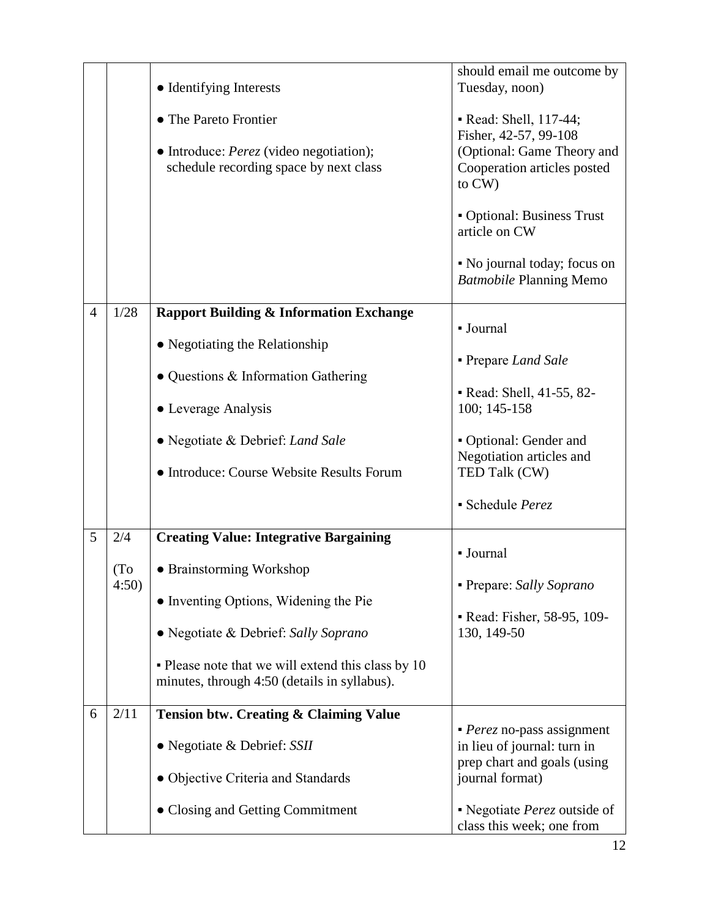|                |                                           | • Identifying Interests<br>• The Pareto Frontier<br>• Introduce: <i>Perez</i> (video negotiation);<br>schedule recording space by next class                                                                                                                                                               | should email me outcome by<br>Tuesday, noon)<br>• Read: Shell, 117-44;<br>Fisher, 42-57, 99-108<br>(Optional: Game Theory and<br>Cooperation articles posted<br>to CW)<br>• Optional: Business Trust<br>article on CW<br>• No journal today; focus on<br><b>Batmobile Planning Memo</b> |
|----------------|-------------------------------------------|------------------------------------------------------------------------------------------------------------------------------------------------------------------------------------------------------------------------------------------------------------------------------------------------------------|-----------------------------------------------------------------------------------------------------------------------------------------------------------------------------------------------------------------------------------------------------------------------------------------|
| $\overline{4}$ | 1/28                                      | <b>Rapport Building &amp; Information Exchange</b><br>• Negotiating the Relationship<br>• Questions & Information Gathering<br>• Leverage Analysis<br>• Negotiate & Debrief: Land Sale<br>• Introduce: Course Website Results Forum                                                                        | - Journal<br>- Prepare Land Sale<br>Read: Shell, 41-55, 82-<br>100; 145-158<br>• Optional: Gender and<br>Negotiation articles and<br>TED Talk (CW)<br>• Schedule Perez                                                                                                                  |
| 5<br>6         | 2/4<br>(T <sub>o</sub> )<br>4:50)<br>2/11 | <b>Creating Value: Integrative Bargaining</b><br>• Brainstorming Workshop<br>• Inventing Options, Widening the Pie<br>• Negotiate & Debrief: Sally Soprano<br>• Please note that we will extend this class by 10<br>minutes, through 4:50 (details in syllabus).<br>Tension btw. Creating & Claiming Value | - Journal<br>• Prepare: Sally Soprano<br>Read: Fisher, 58-95, 109-<br>130, 149-50                                                                                                                                                                                                       |
|                |                                           | • Negotiate & Debrief: SSII<br>• Objective Criteria and Standards<br>• Closing and Getting Commitment                                                                                                                                                                                                      | $\blacksquare$ <i>Perez</i> no-pass assignment<br>in lieu of journal: turn in<br>prep chart and goals (using<br>journal format)<br>• Negotiate Perez outside of<br>class this week; one from                                                                                            |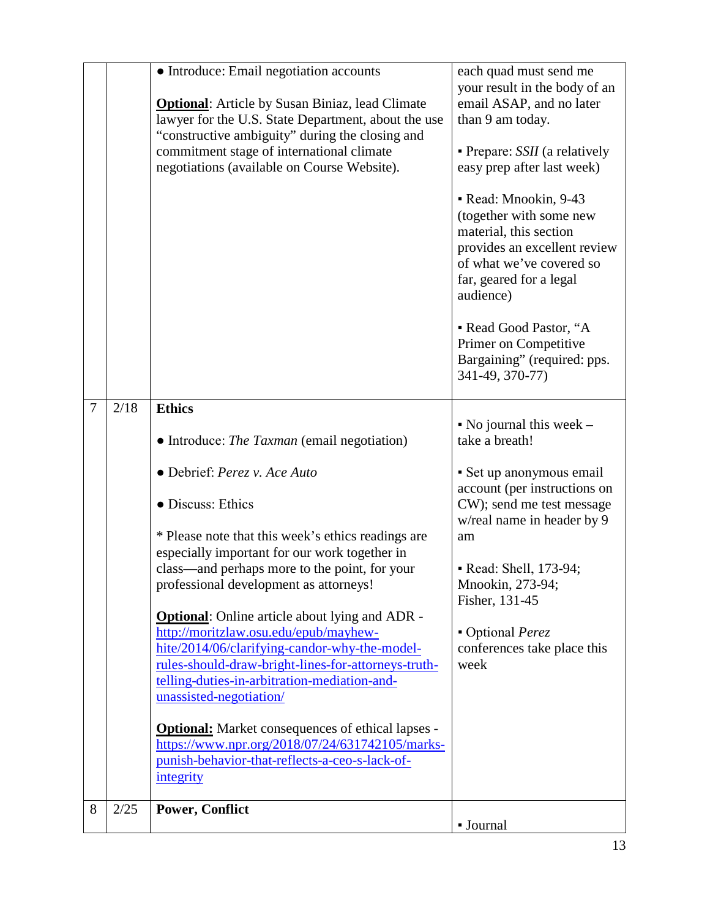|   |      | • Introduce: Email negotiation accounts<br><b>Optional:</b> Article by Susan Biniaz, lead Climate<br>lawyer for the U.S. State Department, about the use<br>"constructive ambiguity" during the closing and<br>commitment stage of international climate<br>negotiations (available on Course Website). | each quad must send me<br>your result in the body of an<br>email ASAP, and no later<br>than 9 am today.<br>• Prepare: <i>SSII</i> (a relatively<br>easy prep after last week)<br>• Read: Mnookin, 9-43<br>(together with some new<br>material, this section<br>provides an excellent review<br>of what we've covered so<br>far, geared for a legal<br>audience)<br>• Read Good Pastor, "A |
|---|------|---------------------------------------------------------------------------------------------------------------------------------------------------------------------------------------------------------------------------------------------------------------------------------------------------------|-------------------------------------------------------------------------------------------------------------------------------------------------------------------------------------------------------------------------------------------------------------------------------------------------------------------------------------------------------------------------------------------|
|   |      |                                                                                                                                                                                                                                                                                                         | Primer on Competitive<br>Bargaining" (required: pps.<br>341-49, 370-77)                                                                                                                                                                                                                                                                                                                   |
| 7 | 2/18 | <b>Ethics</b>                                                                                                                                                                                                                                                                                           |                                                                                                                                                                                                                                                                                                                                                                                           |
|   |      | • Introduce: The Taxman (email negotiation)                                                                                                                                                                                                                                                             | $\bullet$ No journal this week $\sim$<br>take a breath!                                                                                                                                                                                                                                                                                                                                   |
|   |      | · Debrief: Perez v. Ace Auto<br>• Discuss: Ethics                                                                                                                                                                                                                                                       | · Set up anonymous email<br>account (per instructions on<br>CW); send me test message                                                                                                                                                                                                                                                                                                     |
|   |      | * Please note that this week's ethics readings are                                                                                                                                                                                                                                                      | w/real name in header by 9<br>am                                                                                                                                                                                                                                                                                                                                                          |
|   |      | especially important for our work together in<br>class—and perhaps more to the point, for your                                                                                                                                                                                                          | • Read: Shell, 173-94;                                                                                                                                                                                                                                                                                                                                                                    |
|   |      | professional development as attorneys!                                                                                                                                                                                                                                                                  | Mnookin, 273-94;<br>Fisher, 131-45                                                                                                                                                                                                                                                                                                                                                        |
|   |      | <b>Optional:</b> Online article about lying and ADR -<br>http://moritzlaw.osu.edu/epub/mayhew-<br>hite/2014/06/clarifying-candor-why-the-model-<br>rules-should-draw-bright-lines-for-attorneys-truth-<br>telling-duties-in-arbitration-mediation-and-<br>unassisted-negotiation/                       | • Optional Perez<br>conferences take place this<br>week                                                                                                                                                                                                                                                                                                                                   |
|   |      | <b>Optional:</b> Market consequences of ethical lapses -<br>https://www.npr.org/2018/07/24/631742105/marks-<br>punish-behavior-that-reflects-a-ceo-s-lack-of-<br>integrity                                                                                                                              |                                                                                                                                                                                                                                                                                                                                                                                           |
| 8 | 2/25 | <b>Power, Conflict</b>                                                                                                                                                                                                                                                                                  | • Journal                                                                                                                                                                                                                                                                                                                                                                                 |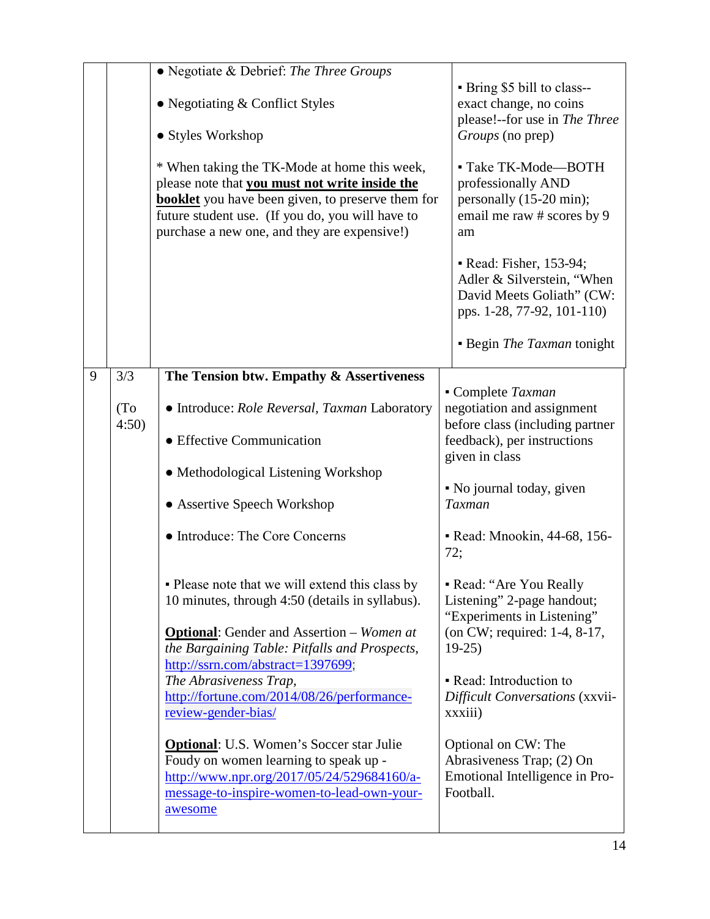|   |                            | • Negotiate & Debrief: The Three Groups<br>• Negotiating $&$ Conflict Styles<br>• Styles Workshop<br>* When taking the TK-Mode at home this week,<br>please note that you must not write inside the<br><b>booklet</b> you have been given, to preserve them for<br>future student use. (If you do, you will have to<br>purchase a new one, and they are expensive!)                                                                                                                                                                            | • Bring \$5 bill to class--<br>exact change, no coins<br>please!--for use in The Three<br>Groups (no prep)<br>- Take TK-Mode-BOTH<br>professionally AND<br>personally (15-20 min);<br>email me raw # scores by 9<br>am<br>• Read: Fisher, 153-94;<br>Adler & Silverstein, "When                            |
|---|----------------------------|------------------------------------------------------------------------------------------------------------------------------------------------------------------------------------------------------------------------------------------------------------------------------------------------------------------------------------------------------------------------------------------------------------------------------------------------------------------------------------------------------------------------------------------------|------------------------------------------------------------------------------------------------------------------------------------------------------------------------------------------------------------------------------------------------------------------------------------------------------------|
|   |                            |                                                                                                                                                                                                                                                                                                                                                                                                                                                                                                                                                | David Meets Goliath" (CW:<br>pps. 1-28, 77-92, 101-110)<br>• Begin <i>The Taxman</i> tonight                                                                                                                                                                                                               |
| 9 | 3/3                        | The Tension btw. Empathy & Assertiveness                                                                                                                                                                                                                                                                                                                                                                                                                                                                                                       |                                                                                                                                                                                                                                                                                                            |
|   | (T <sub>0</sub> )<br>4:50) | • Introduce: Role Reversal, Taxman Laboratory<br>• Effective Communication<br>• Methodological Listening Workshop                                                                                                                                                                                                                                                                                                                                                                                                                              | Complete Taxman<br>negotiation and assignment<br>before class (including partner<br>feedback), per instructions<br>given in class                                                                                                                                                                          |
|   |                            | • Assertive Speech Workshop                                                                                                                                                                                                                                                                                                                                                                                                                                                                                                                    | • No journal today, given<br>Taxman                                                                                                                                                                                                                                                                        |
|   |                            | • Introduce: The Core Concerns                                                                                                                                                                                                                                                                                                                                                                                                                                                                                                                 | - Read: Mnookin, 44-68, 156-<br>72;                                                                                                                                                                                                                                                                        |
|   |                            | • Please note that we will extend this class by<br>10 minutes, through 4:50 (details in syllabus).<br><b>Optional:</b> Gender and Assertion – Women at<br>the Bargaining Table: Pitfalls and Prospects,<br>http://ssrn.com/abstract=1397699;<br>The Abrasiveness Trap,<br>http://fortune.com/2014/08/26/performance-<br>review-gender-bias/<br><b>Optional:</b> U.S. Women's Soccer star Julie<br>Foudy on women learning to speak up -<br>http://www.npr.org/2017/05/24/529684160/a-<br>message-to-inspire-women-to-lead-own-your-<br>awesome | - Read: "Are You Really<br>Listening" 2-page handout;<br>"Experiments in Listening"<br>(on CW; required: 1-4, 8-17,<br>$19-25$<br>• Read: Introduction to<br>Difficult Conversations (xxvii-<br>xxxiii)<br>Optional on CW: The<br>Abrasiveness Trap; (2) On<br>Emotional Intelligence in Pro-<br>Football. |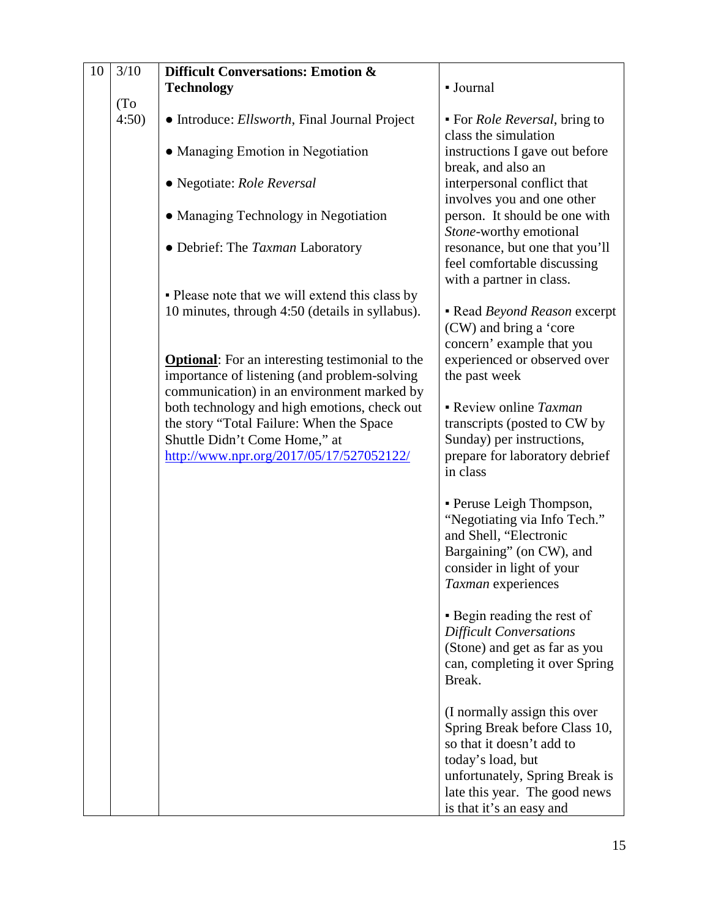| 10 | 3/10 | Difficult Conversations: Emotion &                     |                                                       |
|----|------|--------------------------------------------------------|-------------------------------------------------------|
|    |      | <b>Technology</b>                                      | - Journal                                             |
|    | (To) |                                                        |                                                       |
|    | 4:50 | • Introduce: Ellsworth, Final Journal Project          | • For <i>Role Reversal</i> , bring to                 |
|    |      |                                                        | class the simulation                                  |
|    |      | • Managing Emotion in Negotiation                      | instructions I gave out before                        |
|    |      |                                                        | break, and also an                                    |
|    |      | • Negotiate: Role Reversal                             | interpersonal conflict that                           |
|    |      |                                                        | involves you and one other                            |
|    |      | • Managing Technology in Negotiation                   | person. It should be one with                         |
|    |      |                                                        | Stone-worthy emotional                                |
|    |      | · Debrief: The Taxman Laboratory                       | resonance, but one that you'll                        |
|    |      |                                                        | feel comfortable discussing                           |
|    |      |                                                        | with a partner in class.                              |
|    |      | • Please note that we will extend this class by        |                                                       |
|    |      | 10 minutes, through 4:50 (details in syllabus).        | - Read Beyond Reason excerpt                          |
|    |      |                                                        | (CW) and bring a 'core                                |
|    |      |                                                        | concern' example that you                             |
|    |      | <b>Optional:</b> For an interesting testimonial to the | experienced or observed over                          |
|    |      | importance of listening (and problem-solving           | the past week                                         |
|    |      | communication) in an environment marked by             |                                                       |
|    |      | both technology and high emotions, check out           | • Review online Taxman                                |
|    |      | the story "Total Failure: When the Space               | transcripts (posted to CW by                          |
|    |      | Shuttle Didn't Come Home," at                          | Sunday) per instructions,                             |
|    |      | http://www.npr.org/2017/05/17/527052122/               | prepare for laboratory debrief                        |
|    |      |                                                        | in class                                              |
|    |      |                                                        |                                                       |
|    |      |                                                        | • Peruse Leigh Thompson,                              |
|    |      |                                                        | "Negotiating via Info Tech."                          |
|    |      |                                                        | and Shell, "Electronic                                |
|    |      |                                                        | Bargaining" (on CW), and<br>consider in light of your |
|    |      |                                                        | Taxman experiences                                    |
|    |      |                                                        |                                                       |
|    |      |                                                        | • Begin reading the rest of                           |
|    |      |                                                        | <b>Difficult Conversations</b>                        |
|    |      |                                                        | (Stone) and get as far as you                         |
|    |      |                                                        | can, completing it over Spring                        |
|    |      |                                                        | Break.                                                |
|    |      |                                                        |                                                       |
|    |      |                                                        | (I normally assign this over                          |
|    |      |                                                        | Spring Break before Class 10,                         |
|    |      |                                                        | so that it doesn't add to                             |
|    |      |                                                        | today's load, but                                     |
|    |      |                                                        | unfortunately, Spring Break is                        |
|    |      |                                                        | late this year. The good news                         |
|    |      |                                                        | is that it's an easy and                              |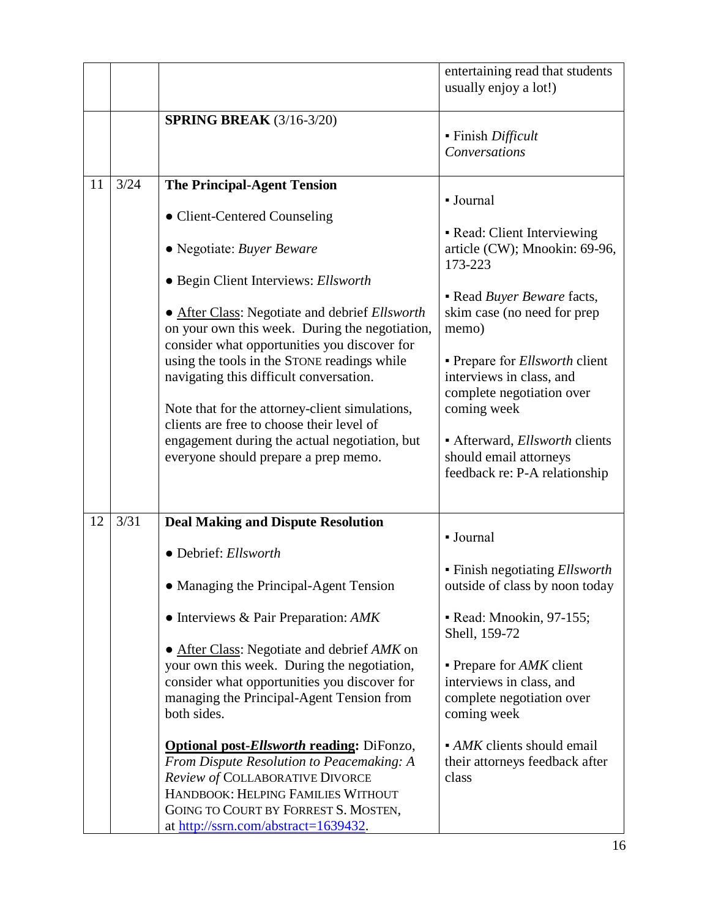|    |      |                                                                                                                                                                                                                                                        | entertaining read that students<br>usually enjoy a lot!)                                                |
|----|------|--------------------------------------------------------------------------------------------------------------------------------------------------------------------------------------------------------------------------------------------------------|---------------------------------------------------------------------------------------------------------|
|    |      | <b>SPRING BREAK (3/16-3/20)</b>                                                                                                                                                                                                                        | - Finish Difficult<br>Conversations                                                                     |
| 11 | 3/24 | <b>The Principal-Agent Tension</b>                                                                                                                                                                                                                     | - Journal                                                                                               |
|    |      | • Client-Centered Counseling                                                                                                                                                                                                                           |                                                                                                         |
|    |      | • Negotiate: Buyer Beware                                                                                                                                                                                                                              | • Read: Client Interviewing<br>article (CW); Mnookin: 69-96,<br>173-223                                 |
|    |      | • Begin Client Interviews: Ellsworth                                                                                                                                                                                                                   | • Read Buyer Beware facts,                                                                              |
|    |      | • After Class: Negotiate and debrief Ellsworth<br>on your own this week. During the negotiation,                                                                                                                                                       | skim case (no need for prep<br>memo)                                                                    |
|    |      | consider what opportunities you discover for<br>using the tools in the STONE readings while<br>navigating this difficult conversation.                                                                                                                 | • Prepare for <i>Ellsworth</i> client<br>interviews in class, and<br>complete negotiation over          |
|    |      | Note that for the attorney-client simulations,                                                                                                                                                                                                         | coming week                                                                                             |
|    |      | clients are free to choose their level of<br>engagement during the actual negotiation, but<br>everyone should prepare a prep memo.                                                                                                                     | • Afterward, <i>Ellsworth</i> clients<br>should email attorneys<br>feedback re: P-A relationship        |
|    |      |                                                                                                                                                                                                                                                        |                                                                                                         |
| 12 | 3/31 | <b>Deal Making and Dispute Resolution</b>                                                                                                                                                                                                              | - Journal                                                                                               |
|    |      | • Debrief: Ellsworth                                                                                                                                                                                                                                   | • Finish negotiating <i>Ellsworth</i>                                                                   |
|    |      | • Managing the Principal-Agent Tension                                                                                                                                                                                                                 | outside of class by noon today                                                                          |
|    |      | $\bullet$ Interviews & Pair Preparation: AMK                                                                                                                                                                                                           | • Read: Mnookin, 97-155;<br>Shell, 159-72                                                               |
|    |      | • After Class: Negotiate and debrief AMK on<br>your own this week. During the negotiation,<br>consider what opportunities you discover for<br>managing the Principal-Agent Tension from<br>both sides.                                                 | • Prepare for <i>AMK</i> client<br>interviews in class, and<br>complete negotiation over<br>coming week |
|    |      | <b>Optional post-Ellsworth reading: DiFonzo,</b><br>From Dispute Resolution to Peacemaking: A<br>Review of COLLABORATIVE DIVORCE<br>HANDBOOK: HELPING FAMILIES WITHOUT<br>GOING TO COURT BY FORREST S. MOSTEN,<br>at http://ssrn.com/abstract=1639432. | • AMK clients should email<br>their attorneys feedback after<br>class                                   |